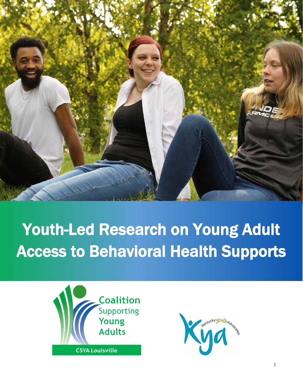

# Youth-Led Research on Young Adult Access to Behavioral Health Supports



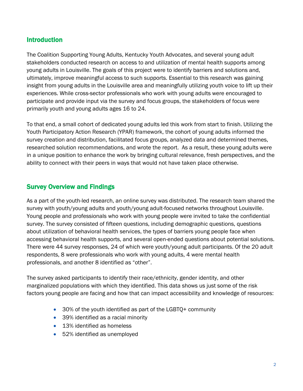# Introduction

The Coalition Supporting Young Adults, Kentucky Youth Advocates, and several young adult stakeholders conducted research on access to and utilization of mental health supports among young adults in Louisville. The goals of this project were to identify barriers and solutions and, ultimately, improve meaningful access to such supports. Essential to this research was gaining insight from young adults in the Louisville area and meaningfully utilizing youth voice to lift up their experiences. While cross-sector professionals who work with young adults were encouraged to participate and provide input via the survey and focus groups, the stakeholders of focus were primarily youth and young adults ages 16 to 24.

To that end, a small cohort of dedicated young adults led this work from start to finish. Utilizing the Youth Participatory Action Research (YPAR) framework, the cohort of young adults informed the survey creation and distribution, facilitated focus groups, analyzed data and determined themes, researched solution recommendations, and wrote the report. As a result, these young adults were in a unique position to enhance the work by bringing cultural relevance, fresh perspectives, and the ability to connect with their peers in ways that would not have taken place otherwise.

# Survey Overview and Findings

As a part of the youth-led research, an online survey was distributed. The research team shared the survey with youth/young adults and youth/young adult-focused networks throughout Louisville. Young people and professionals who work with young people were invited to take the confidential survey. The survey consisted of fifteen questions, including demographic questions, questions about utilization of behavioral health services, the types of barriers young people face when accessing behavioral health supports, and several open-ended questions about potential solutions. There were 44 survey responses, 24 of which were youth/young adult participants. Of the 20 adult respondents, 8 were professionals who work with young adults, 4 were mental health professionals, and another 8 identified as "other".

The survey asked participants to identify their race/ethnicity, gender identity, and other marginalized populations with which they identified. This data shows us just some of the risk factors young people are facing and how that can impact accessibility and knowledge of resources:

- 30% of the youth identified as part of the LGBTQ+ community
- 39% identified as a racial minority
- 13% identified as homeless
- 52% identified as unemployed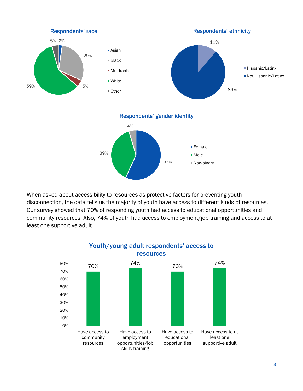

When asked about accessibility to resources as protective factors for preventing youth disconnection, the data tells us the majority of youth have access to different kinds of resources. Our survey showed that 70% of responding youth had access to educational opportunities and community resources. Also, 74% of youth had access to employment/job training and access to at least one supportive adult.



Youth/young adult respondents' access to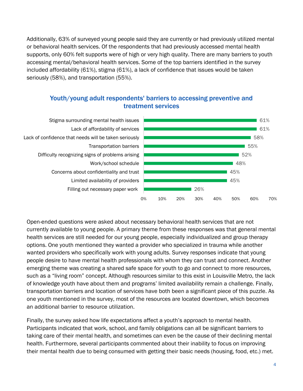Additionally, 63% of surveyed young people said they are currently or had previously utilized mental or behavioral health services. Of the respondents that had previously accessed mental health supports, only 60% felt supports were of high or very high quality. There are many barriers to youth accessing mental/behavioral health services. Some of the top barriers identified in the survey included affordability (61%), stigma (61%), a lack of confidence that issues would be taken seriously (58%), and transportation (55%).

# Youth/young adult respondents' barriers to accessing preventive and treatment services



Open-ended questions were asked about necessary behavioral health services that are not currently available to young people. A primary theme from these responses was that general mental health services are still needed for our young people, especially individualized and group therapy options. One youth mentioned they wanted a provider who specialized in trauma while another wanted providers who specifically work with young adults. Survey responses indicate that young people desire to have mental health professionals with whom they can trust and connect. Another emerging theme was creating a shared safe space for youth to go and connect to more resources, such as a "living room" concept. Although resources similar to this exist in Louisville Metro, the lack of knowledge youth have about them and programs' limited availability remain a challenge. Finally, transportation barriers and location of services have both been a significant piece of this puzzle. As one youth mentioned in the survey, most of the resources are located downtown, which becomes an additional barrier to resource utilization.

Finally, the survey asked how life expectations affect a youth's approach to mental health. Participants indicated that work, school, and family obligations can all be significant barriers to taking care of their mental health, and sometimes can even be the cause of their declining mental health. Furthermore, several participants commented about their inability to focus on improving their mental health due to being consumed with getting their basic needs (housing, food, etc.) met.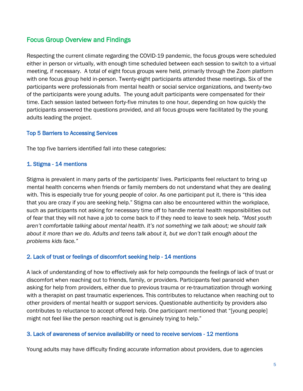# Focus Group Overview and Findings

Respecting the current climate regarding the COVID-19 pandemic, the focus groups were scheduled either in person or virtually, with enough time scheduled between each session to switch to a virtual meeting, if necessary. A total of eight focus groups were held, primarily through the Zoom platform with one focus group held in-person. Twenty-eight participants attended these meetings. Six of the participants were professionals from mental health or social service organizations, and twenty-two of the participants were young adults. The young adult participants were compensated for their time. Each session lasted between forty-five minutes to one hour, depending on how quickly the participants answered the questions provided, and all focus groups were facilitated by the young adults leading the project.

# Top 5 Barriers to Accessing Services

The top five barriers identified fall into these categories:

# 1. Stigma - 14 mentions

Stigma is prevalent in many parts of the participants' lives. Participants feel reluctant to bring up mental health concerns when friends or family members do not understand what they are dealing with. This is especially true for young people of color. As one participant put it, there is "this idea that you are crazy if you are seeking help." Stigma can also be encountered within the workplace, such as participants not asking for necessary time off to handle mental health responsibilities out of fear that they will not have a job to come back to if they need to leave to seek help. *"Most youth aren't comfortable talking about mental health. It's not something we talk about; we should talk about it more than we do. Adults and teens talk about it, but we don't talk enough about the problems kids face."*

## 2. Lack of trust or feelings of discomfort seeking help - 14 mentions

A lack of understanding of how to effectively ask for help compounds the feelings of lack of trust or discomfort when reaching out to friends, family, or providers. Participants feel paranoid when asking for help from providers, either due to previous trauma or re-traumatization through working with a therapist on past traumatic experiences. This contributes to reluctance when reaching out to other providers of mental health or support services. Questionable authenticity by providers also contributes to reluctance to accept offered help. One participant mentioned that "[young people] might not feel like the person reaching out is genuinely trying to help."

## 3. Lack of awareness of service availability or need to receive services - 12 mentions

Young adults may have difficulty finding accurate information about providers, due to agencies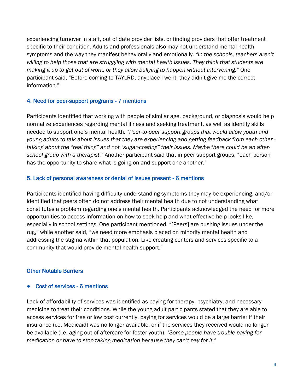experiencing turnover in staff, out of date provider lists, or finding providers that offer treatment specific to their condition. Adults and professionals also may not understand mental health symptoms and the way they manifest behaviorally and emotionally. *"In the schools, teachers aren't willing to help those that are struggling with mental health issues. They think that students are making it up to get out of work, or they allow bullying to happen without intervening."* One participant said, "Before coming to TAYLRD, anyplace I went, they didn't give me the correct information."

## 4. Need for peer-support programs - 7 mentions

Participants identified that working with people of similar age, background, or diagnosis would help normalize experiences regarding mental illness and seeking treatment, as well as identify skills needed to support one's mental health. *"Peer-to-peer support groups that would allow youth and young adults to talk about issues that they are experiencing and getting feedback from each other talking about the "real thing" and not "sugar-coating" their issues. Maybe there could be an afterschool group with a therapist."* Another participant said that in peer support groups, "each person has the opportunity to share what is going on and support one another."

#### 5. Lack of personal awareness or denial of issues present - 6 mentions

Participants identified having difficulty understanding symptoms they may be experiencing, and/or identified that peers often do not address their mental health due to not understanding what constitutes a problem regarding one's mental health. Participants acknowledged the need for more opportunities to access information on how to seek help and what effective help looks like, especially in school settings. One participant mentioned, "[Peers] are pushing issues under the rug," while another said, "we need more emphasis placed on minority mental health and addressing the stigma within that population. Like creating centers and services specific to a community that would provide mental health support."

#### Other Notable Barriers

#### ● Cost of services - 6 mentions

Lack of affordability of services was identified as paying for therapy, psychiatry, and necessary medicine to treat their conditions. While the young adult participants stated that they are able to access services for free or low cost currently, paying for services would be a large barrier if their insurance (i.e. Medicaid) was no longer available, or if the services they received would no longer be available (i.e. aging out of aftercare for foster youth). *"Some people have trouble paying for medication or have to stop taking medication because they can't pay for it."*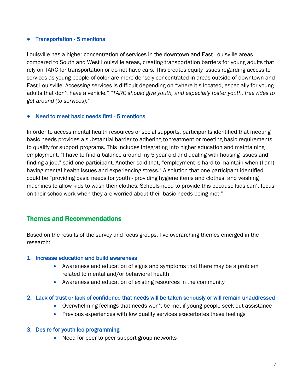#### ● Transportation - 5 mentions

Louisville has a higher concentration of services in the downtown and East Louisville areas compared to South and West Louisville areas, creating transportation barriers for young adults that rely on TARC for transportation or do not have cars. This creates equity issues regarding access to services as young people of color are more densely concentrated in areas outside of downtown and East Louisville. Accessing services is difficult depending on "where it's located, especially for young adults that don't have a vehicle." *"TARC should give youth, and especially foster youth, free rides to get around (to services)."*

#### Need to meet basic needs first - 5 mentions

In order to access mental health resources or social supports, participants identified that meeting basic needs provides a substantial barrier to adhering to treatment or meeting basic requirements to qualify for support programs. This includes integrating into higher education and maintaining employment. "I have to find a balance around my 5-year-old and dealing with housing issues and finding a job," said one participant. Another said that, "employment is hard to maintain when (I am) having mental health issues and experiencing stress." A solution that one participant identified could be "providing basic needs for youth - providing hygiene items and clothes, and washing machines to allow kids to wash their clothes. Schools need to provide this because kids can't focus on their schoolwork when they are worried about their basic needs being met."

# Themes and Recommendations

Based on the results of the survey and focus groups, five overarching themes emerged in the research:

#### 1. Increase education and build awareness

- Awareness and education of signs and symptoms that there may be a problem related to mental and/or behavioral health
- Awareness and education of existing resources in the community

## 2. Lack of trust or lack of confidence that needs will be taken seriously or will remain unaddressed

- Overwhelming feelings that needs won't be met if young people seek out assistance
- Previous experiences with low quality services exacerbates these feelings

## 3. Desire for youth-led programming

• Need for peer-to-peer support group networks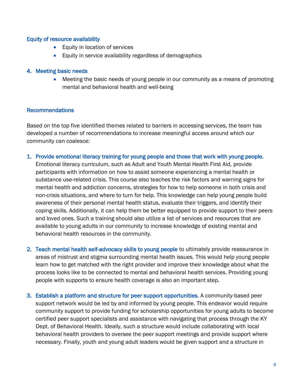#### Equity of resource availability

- Equity in location of services
- Equity in service availability regardless of demographics

#### 4. Meeting basic needs

• Meeting the basic needs of young people in our community as a means of promoting mental and behavioral health and well-being

#### Recommendations

Based on the top five identified themes related to barriers in accessing services, the team has developed a number of recommendations to increase meaningful access around which our community can coalesce:

- 1. Provide emotional literacy training for young people and those that work with young people. Emotional literacy curriculum, such as Adult and Youth Mental Health First Aid, provide participants with information on how to assist someone experiencing a mental health or substance use-related crisis. This course also teaches the risk factors and warning signs for mental health and addiction concerns, strategies for how to help someone in both crisis and non-crisis situations, and where to turn for help. This knowledge can help young people build awareness of their personal mental health status, evaluate their triggers, and identify their coping skills. Additionally, it can help them be better equipped to provide support to their peers and loved ones. Such a training should also utilize a list of services and resources that are available to young adults in our community to increase knowledge of existing mental and behavioral health resources in the community.
- 2. Teach mental health self-advocacy skills to young people to ultimately provide reassurance in areas of mistrust and stigma surrounding mental health issues. This would help young people learn how to get matched with the right provider and improve their knowledge about what the process looks like to be connected to mental and behavioral health services. Providing young people with supports to ensure health coverage is also an important step.
- 3. Establish a platform and structure for peer support opportunities. A community-based peer support network would be led by and informed by young people. This endeavor would require community support to provide funding for scholarship opportunities for young adults to become certified peer support specialists and assistance with navigating that process through the KY Dept. of Behavioral Health. Ideally, such a structure would include collaborating with local behavioral health providers to oversee the peer support meetings and provide support where necessary. Finally, youth and young adult leaders would be given support and a structure in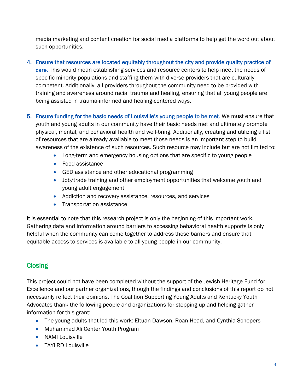media marketing and content creation for social media platforms to help get the word out about such opportunities.

- 4. Ensure that resources are located equitably throughout the city and provide quality practice of care. This would mean establishing services and resource centers to help meet the needs of specific minority populations and staffing them with diverse providers that are culturally competent. Additionally, all providers throughout the community need to be provided with training and awareness around racial trauma and healing, ensuring that all young people are being assisted in trauma-informed and healing-centered ways.
- 5. Ensure funding for the basic needs of Louisville's young people to be met. We must ensure that youth and young adults in our community have their basic needs met and ultimately promote physical, mental, and behavioral health and well-bring. Additionally, creating and utilizing a list of resources that are already available to meet those needs is an important step to build awareness of the existence of such resources. Such resource may include but are not limited to:
	- Long-term and emergency housing options that are specific to young people
	- Food assistance
	- GED assistance and other educational programming
	- Job/trade training and other employment opportunities that welcome youth and young adult engagement
	- Addiction and recovery assistance, resources, and services
	- Transportation assistance

It is essential to note that this research project is only the beginning of this important work. Gathering data and information around barriers to accessing behavioral health supports is only helpful when the community can come together to address those barriers and ensure that equitable access to services is available to all young people in our community.

# **Closing**

This project could not have been completed without the support of the Jewish Heritage Fund for Excellence and our partner organizations, though the findings and conclusions of this report do not necessarily reflect their opinions. The Coalition Supporting Young Adults and Kentucky Youth Advocates thank the following people and organizations for stepping up and helping gather information for this grant:

- The young adults that led this work: Eltuan Dawson, Roan Head, and Cynthia Schepers
- Muhammad Ali Center Youth Program
- NAMI Louisville
- TAYLRD Louisville